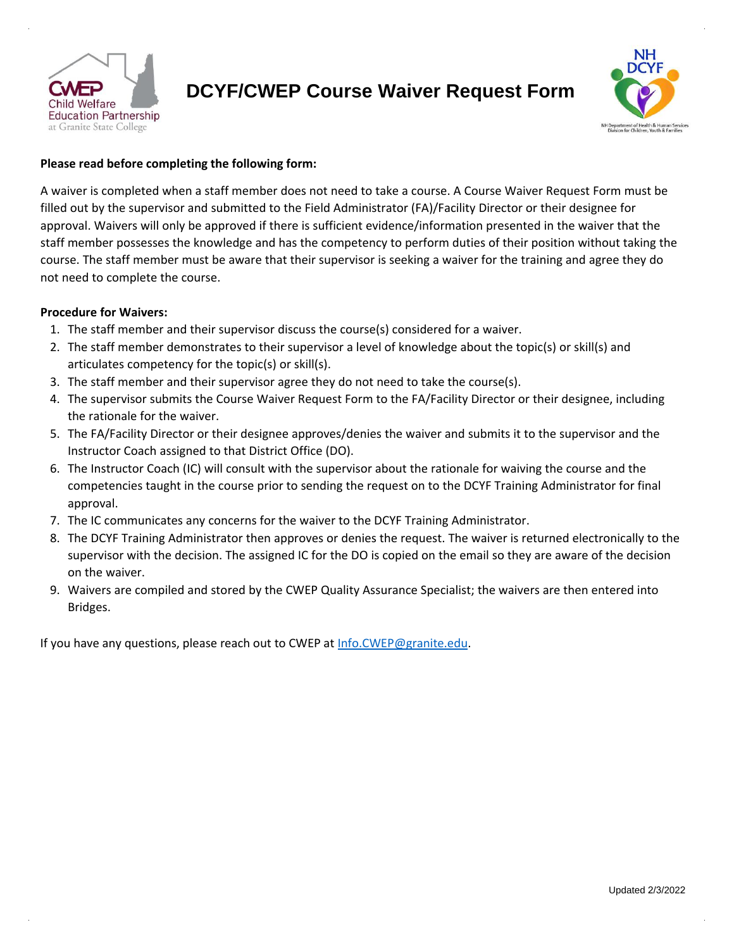

## **DCYF/CWEP Course Waiver Request Form**



## **Please read before completing the following form:**

A waiver is completed when a staff member does not need to take a course. A Course Waiver Request Form must be filled out by the supervisor and submitted to the Field Administrator (FA)/Facility Director or their designee for approval. Waivers will only be approved if there is sufficient evidence/information presented in the waiver that the staff member possesses the knowledge and has the competency to perform duties of their position without taking the course. The staff member must be aware that their supervisor is seeking a waiver for the training and agree they do not need to complete the course.

## **Procedure for Waivers:**

- 1. The staff member and their supervisor discuss the course(s) considered for a waiver.
- 2. The staff member demonstrates to their supervisor a level of knowledge about the topic(s) or skill(s) and articulates competency for the topic(s) or skill(s).
- 3. The staff member and their supervisor agree they do not need to take the course(s).
- 4. The supervisor submits the Course Waiver Request Form to the FA/Facility Director or their designee, including the rationale for the waiver.
- 5. The FA/Facility Director or their designee approves/denies the waiver and submits it to the supervisor and the Instructor Coach assigned to that District Office (DO).
- 6. The Instructor Coach (IC) will consult with the supervisor about the rationale for waiving the course and the competencies taught in the course prior to sending the request on to the DCYF Training Administrator for final approval.
- 7. The IC communicates any concerns for the waiver to the DCYF Training Administrator.
- 8. The DCYF Training Administrator then approves or denies the request. The waiver is returned electronically to the supervisor with the decision. The assigned IC for the DO is copied on the email so they are aware of the decision on the waiver.
- 9. Waivers are compiled and stored by the CWEP Quality Assurance Specialist; the waivers are then entered into Bridges.

If you have any questions, please reach out to CWEP at Info.CWEP@granite.edu.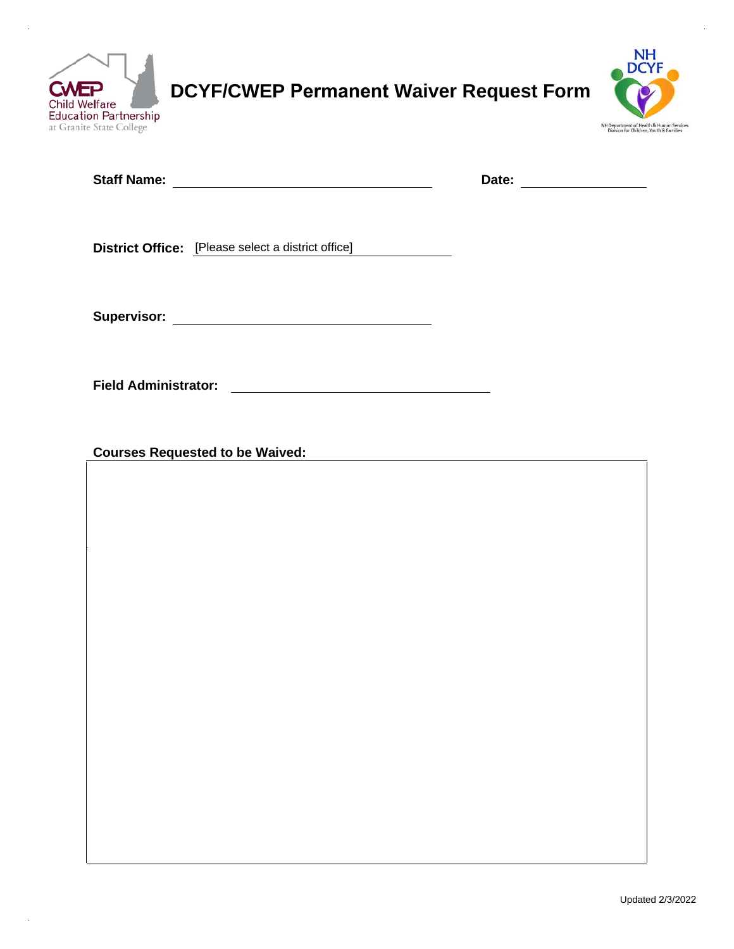

 $\hat{\mathbf{r}}$ 

**DCYF/CWEP Permanent Waiver Request Form**



|                                                                                                                                                     | Date: ______________ |
|-----------------------------------------------------------------------------------------------------------------------------------------------------|----------------------|
|                                                                                                                                                     |                      |
| <b>District Office:</b> [Please select a district office]                                                                                           |                      |
|                                                                                                                                                     |                      |
|                                                                                                                                                     |                      |
| <b>Field Administrator:</b><br><u> 1980 - Jan Stein Stein Stein Stein Stein Stein Stein Stein Stein Stein Stein Stein Stein Stein Stein Stein S</u> |                      |
| <b>Courses Requested to be Waived:</b>                                                                                                              |                      |
|                                                                                                                                                     |                      |